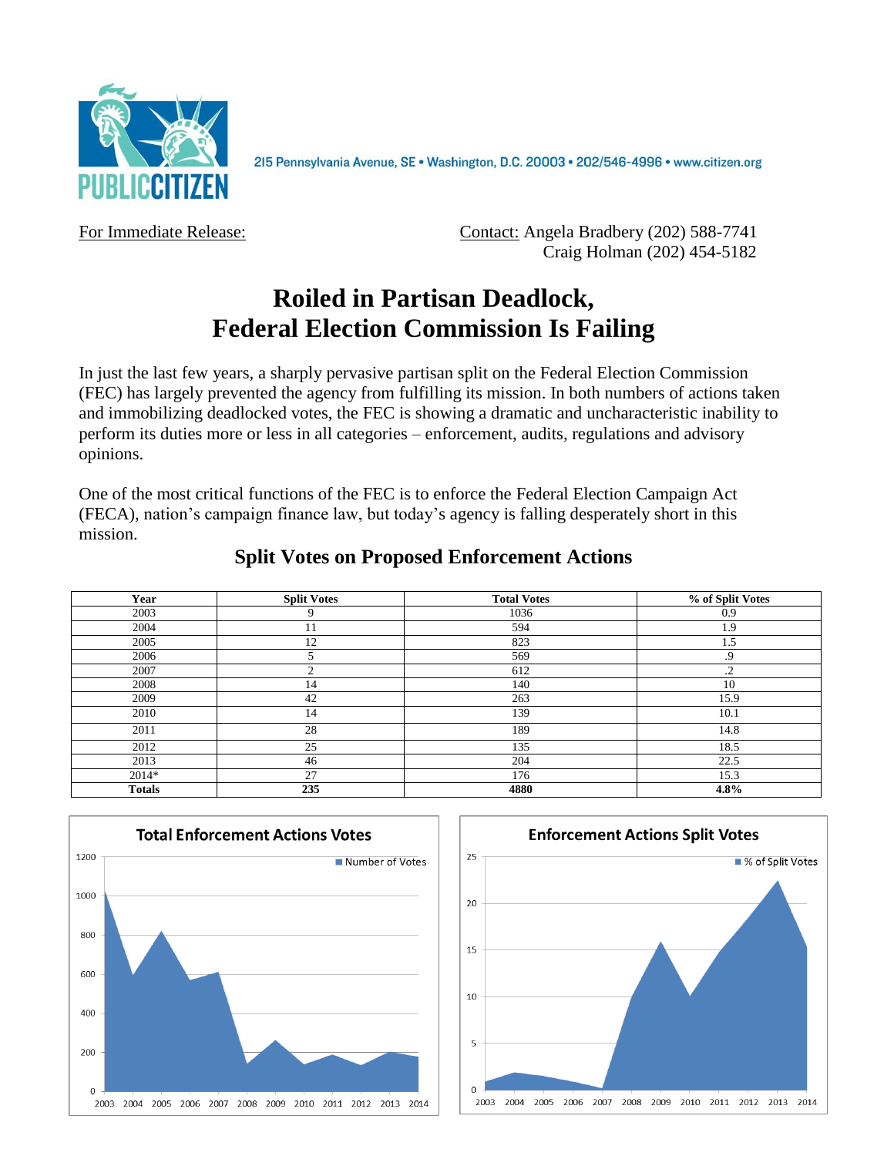

215 Pennsylvania Avenue, SE · Washington, D.C. 20003 · 202/546-4996 · www.citizen.org

For Immediate Release: **Contact: Angela Bradbery (202) 588-7741** Craig Holman (202) 454-5182

# **Roiled in Partisan Deadlock, Federal Election Commission Is Failing**

In just the last few years, a sharply pervasive partisan split on the Federal Election Commission (FEC) has largely prevented the agency from fulfilling its mission. In both numbers of actions taken and immobilizing deadlocked votes, the FEC is showing a dramatic and uncharacteristic inability to perform its duties more or less in all categories – enforcement, audits, regulations and advisory opinions.

One of the most critical functions of the FEC is to enforce the Federal Election Campaign Act (FECA), nation's campaign finance law, but today's agency is falling desperately short in this mission.

| Year          | <b>Split Votes</b> | <b>Total Votes</b> | % of Split Votes |
|---------------|--------------------|--------------------|------------------|
| 2003          | 9                  | 1036               | 0.9              |
| 2004          | 11                 | 594                | 1.9              |
| 2005          | 12                 | 823                | 1.5              |
| 2006          |                    | 569                | .9               |
| 2007          |                    | 612                | $\cdot$          |
| 2008          | 14                 | 140                | 10               |
| 2009          | 42                 | 263                | 15.9             |
| 2010          | 14                 | 139                | 10.1             |
| 2011          | 28                 | 189                | 14.8             |
| 2012          | 25                 | 135                | 18.5             |
| 2013          | 46                 | 204                | 22.5             |
| 2014*         | 27                 | 176                | 15.3             |
| <b>Totals</b> | 235                | 4880               | 4.8%             |

# **Split Votes on Proposed Enforcement Actions**



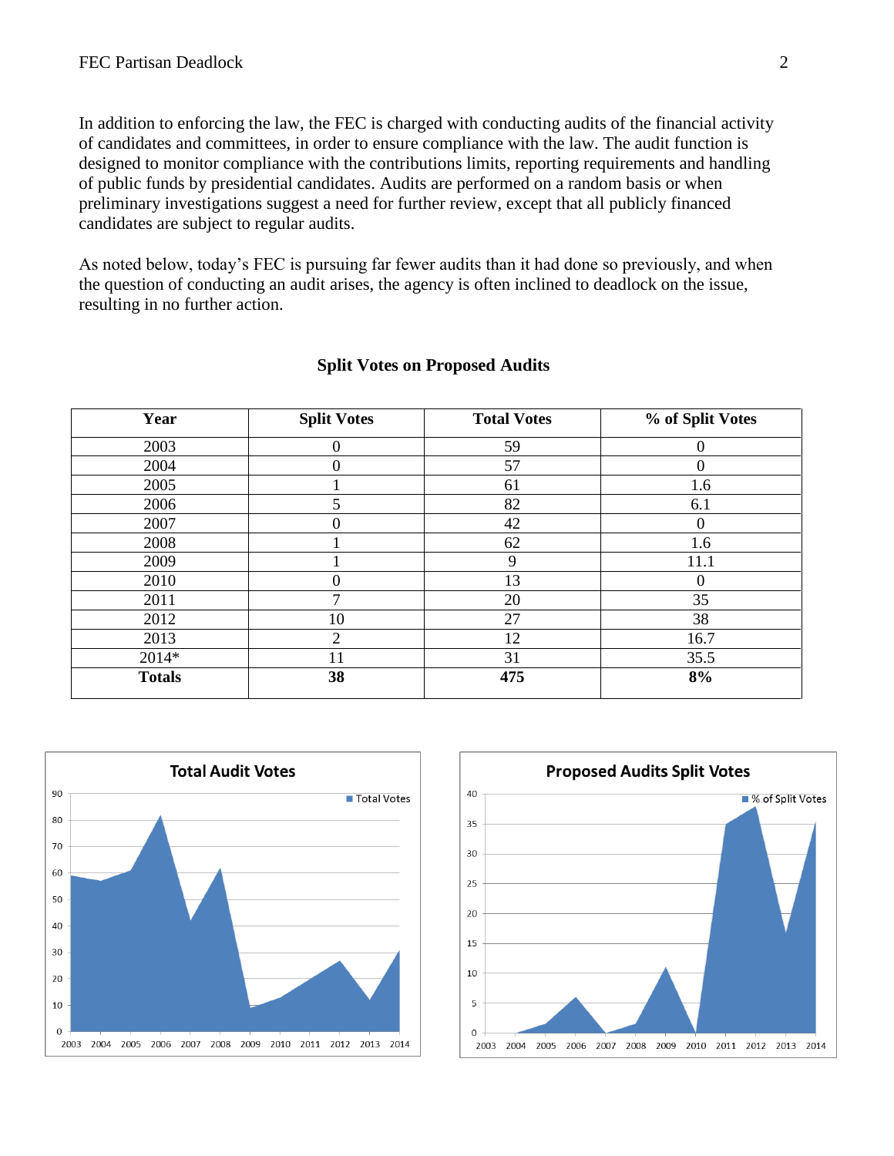In addition to enforcing the law, the FEC is charged with conducting audits of the financial activity of candidates and committees, in order to ensure compliance with the law. The audit function is designed to monitor compliance with the contributions limits, reporting requirements and handling of public funds by presidential candidates. Audits are performed on a random basis or when preliminary investigations suggest a need for further review, except that all publicly financed candidates are subject to regular audits.

As noted below, today's FEC is pursuing far fewer audits than it had done so previously, and when the question of conducting an audit arises, the agency is often inclined to deadlock on the issue, resulting in no further action.

| Year          | <b>Split Votes</b>    | <b>Total Votes</b> | % of Split Votes |
|---------------|-----------------------|--------------------|------------------|
| 2003          | 0                     | 59                 | 0                |
| 2004          | $\theta$              | 57                 | $\overline{0}$   |
| 2005          |                       | 61                 | 1.6              |
| 2006          | 5                     | 82                 | 6.1              |
| 2007          | 0                     | 42                 | $\overline{0}$   |
| 2008          |                       | 62                 | 1.6              |
| 2009          |                       | 9                  | 11.1             |
| 2010          |                       | 13                 | 0                |
| 2011          | 7                     | 20                 | 35               |
| 2012          | 10                    | 27                 | 38               |
| 2013          | $\mathcal{D}_{\cdot}$ | 12                 | 16.7             |
| 2014*         | 11                    | 31                 | 35.5             |
| <b>Totals</b> | 38                    | 475                | 8%               |

## **Split Votes on Proposed Audits**



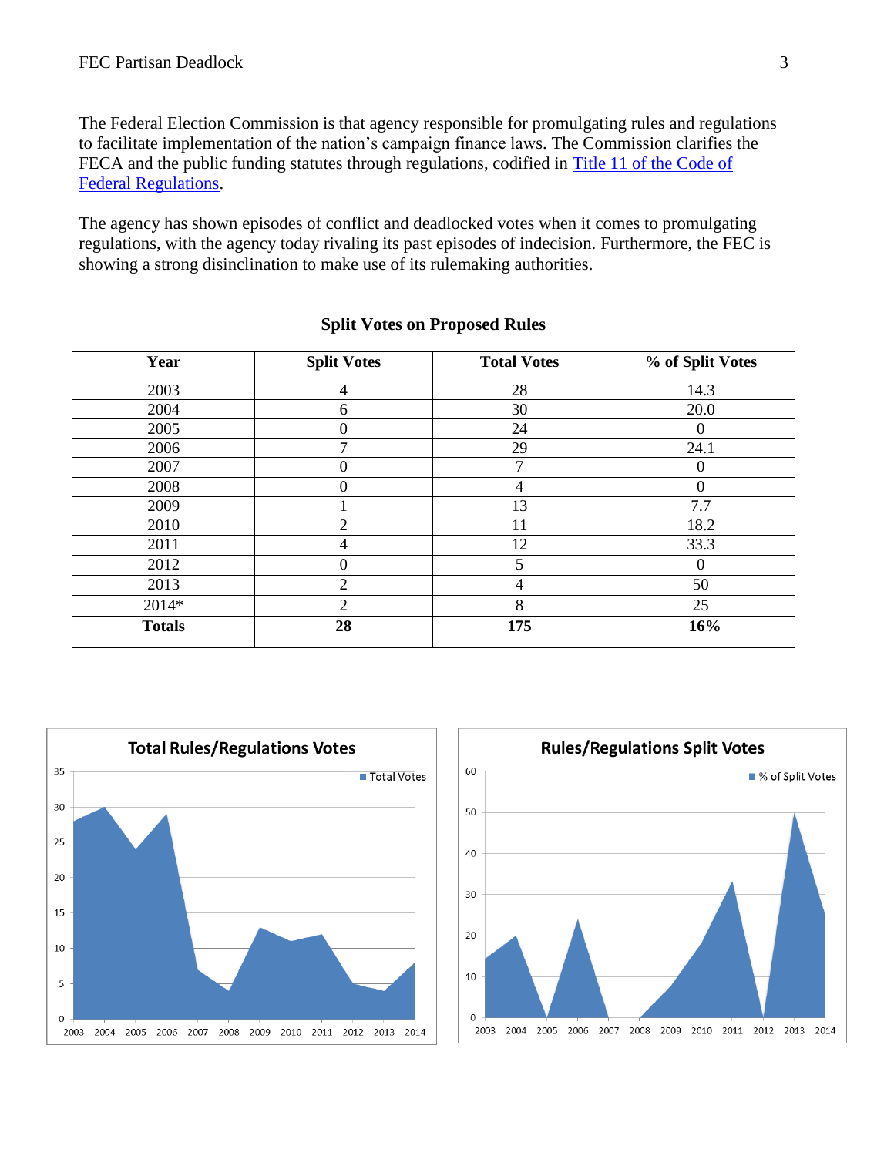The Federal Election Commission is that agency responsible for promulgating rules and regulations to facilitate implementation of the nation's campaign finance laws. The Commission clarifies the FECA and the public funding statutes through regulations, codified in [Title 11 of the Code of](http://www.fec.gov/law/cfr/cfr.shtml)  [Federal Regulations.](http://www.fec.gov/law/cfr/cfr.shtml)

The agency has shown episodes of conflict and deadlocked votes when it comes to promulgating regulations, with the agency today rivaling its past episodes of indecision. Furthermore, the FEC is showing a strong disinclination to make use of its rulemaking authorities.

| Year          | <b>Split Votes</b> | <b>Total Votes</b> | % of Split Votes |
|---------------|--------------------|--------------------|------------------|
| 2003          | 4                  | 28                 | 14.3             |
| 2004          | 6                  | 30                 | 20.0             |
| 2005          | 0                  | 24                 | $\overline{0}$   |
| 2006          | 7                  | 29                 | 24.1             |
| 2007          | 0                  | 7                  | $\overline{0}$   |
| 2008          | 0                  | 4                  | $\overline{0}$   |
| 2009          |                    | 13                 | 7.7              |
| 2010          | 2                  | 11                 | 18.2             |
| 2011          | 4                  | 12                 | 33.3             |
| 2012          | 0                  | 5                  | $\Omega$         |
| 2013          | $\overline{2}$     | 4                  | 50               |
| 2014*         | 2                  | 8                  | 25               |
| <b>Totals</b> | 28                 | 175                | 16%              |

#### **Split Votes on Proposed Rules**